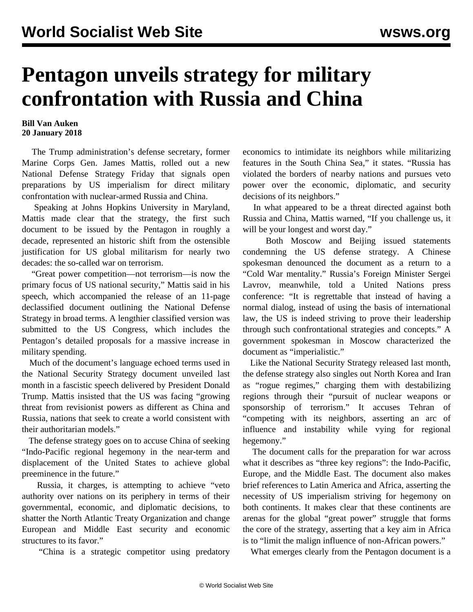## **Pentagon unveils strategy for military confrontation with Russia and China**

## **Bill Van Auken 20 January 2018**

 The Trump administration's defense secretary, former Marine Corps Gen. James Mattis, rolled out a new National Defense Strategy Friday that signals open preparations by US imperialism for direct military confrontation with nuclear-armed Russia and China.

 Speaking at Johns Hopkins University in Maryland, Mattis made clear that the strategy, the first such document to be issued by the Pentagon in roughly a decade, represented an historic shift from the ostensible justification for US global militarism for nearly two decades: the so-called war on terrorism.

 "Great power competition—not terrorism—is now the primary focus of US national security," Mattis said in his speech, which accompanied the release of an 11-page declassified document outlining the National Defense Strategy in broad terms. A lengthier classified version was submitted to the US Congress, which includes the Pentagon's detailed proposals for a massive increase in military spending.

 Much of the document's language echoed terms used in the National Security Strategy document unveiled last month in a fascistic speech delivered by President Donald Trump. Mattis insisted that the US was facing "growing threat from revisionist powers as different as China and Russia, nations that seek to create a world consistent with their authoritarian models."

 The defense strategy goes on to accuse China of seeking "Indo-Pacific regional hegemony in the near-term and displacement of the United States to achieve global preeminence in the future."

 Russia, it charges, is attempting to achieve "veto authority over nations on its periphery in terms of their governmental, economic, and diplomatic decisions, to shatter the North Atlantic Treaty Organization and change European and Middle East security and economic structures to its favor."

"China is a strategic competitor using predatory

economics to intimidate its neighbors while militarizing features in the South China Sea," it states. "Russia has violated the borders of nearby nations and pursues veto power over the economic, diplomatic, and security decisions of its neighbors."

 In what appeared to be a threat directed against both Russia and China, Mattis warned, "If you challenge us, it will be your longest and worst day."

 Both Moscow and Beijing issued statements condemning the US defense strategy. A Chinese spokesman denounced the document as a return to a "Cold War mentality." Russia's Foreign Minister Sergei Lavrov, meanwhile, told a United Nations press conference: "It is regrettable that instead of having a normal dialog, instead of using the basis of international law, the US is indeed striving to prove their leadership through such confrontational strategies and concepts." A government spokesman in Moscow characterized the document as "imperialistic."

 Like the National Security Strategy released last month, the defense strategy also singles out North Korea and Iran as "rogue regimes," charging them with destabilizing regions through their "pursuit of nuclear weapons or sponsorship of terrorism." It accuses Tehran of "competing with its neighbors, asserting an arc of influence and instability while vying for regional hegemony."

 The document calls for the preparation for war across what it describes as "three key regions": the Indo-Pacific, Europe, and the Middle East. The document also makes brief references to Latin America and Africa, asserting the necessity of US imperialism striving for hegemony on both continents. It makes clear that these continents are arenas for the global "great power" struggle that forms the core of the strategy, asserting that a key aim in Africa is to "limit the malign influence of non-African powers."

What emerges clearly from the Pentagon document is a